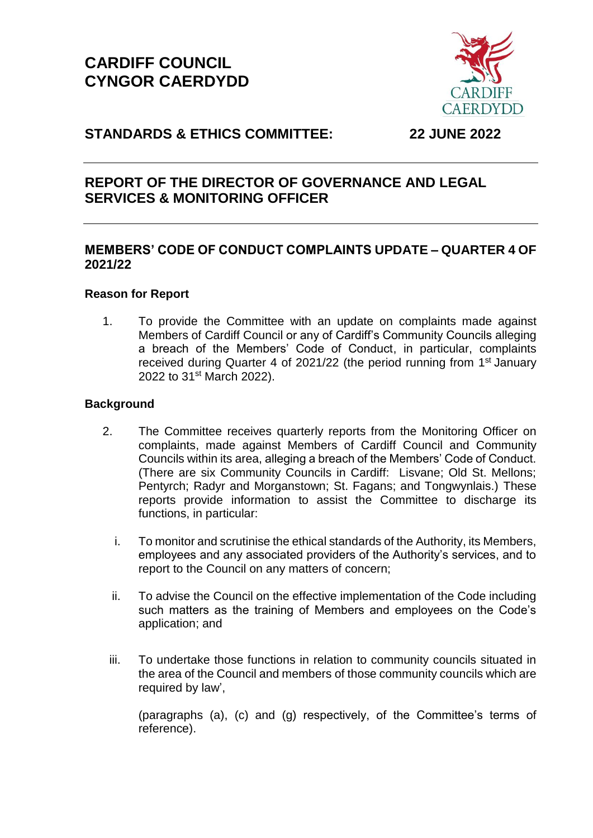# **CARDIFF COUNCIL CYNGOR CAERDYDD**



## **STANDARDS & ETHICS COMMITTEE: 22 JUNE 2022**

## **REPORT OF THE DIRECTOR OF GOVERNANCE AND LEGAL SERVICES & MONITORING OFFICER**

## **MEMBERS' CODE OF CONDUCT COMPLAINTS UPDATE – QUARTER 4 OF 2021/22**

## **Reason for Report**

1. To provide the Committee with an update on complaints made against Members of Cardiff Council or any of Cardiff's Community Councils alleging a breach of the Members' Code of Conduct, in particular, complaints received during Quarter 4 of 2021/22 (the period running from 1<sup>st</sup> January 2022 to 31<sup>st</sup> March 2022).

## **Background**

- 2. The Committee receives quarterly reports from the Monitoring Officer on complaints, made against Members of Cardiff Council and Community Councils within its area, alleging a breach of the Members' Code of Conduct. (There are six Community Councils in Cardiff: Lisvane; Old St. Mellons; Pentyrch; Radyr and Morganstown; St. Fagans; and Tongwynlais.) These reports provide information to assist the Committee to discharge its functions, in particular:
	- i. To monitor and scrutinise the ethical standards of the Authority, its Members, employees and any associated providers of the Authority's services, and to report to the Council on any matters of concern;
	- ii. To advise the Council on the effective implementation of the Code including such matters as the training of Members and employees on the Code's application; and
	- iii. To undertake those functions in relation to community councils situated in the area of the Council and members of those community councils which are required by law',

(paragraphs (a), (c) and (g) respectively, of the Committee's terms of reference).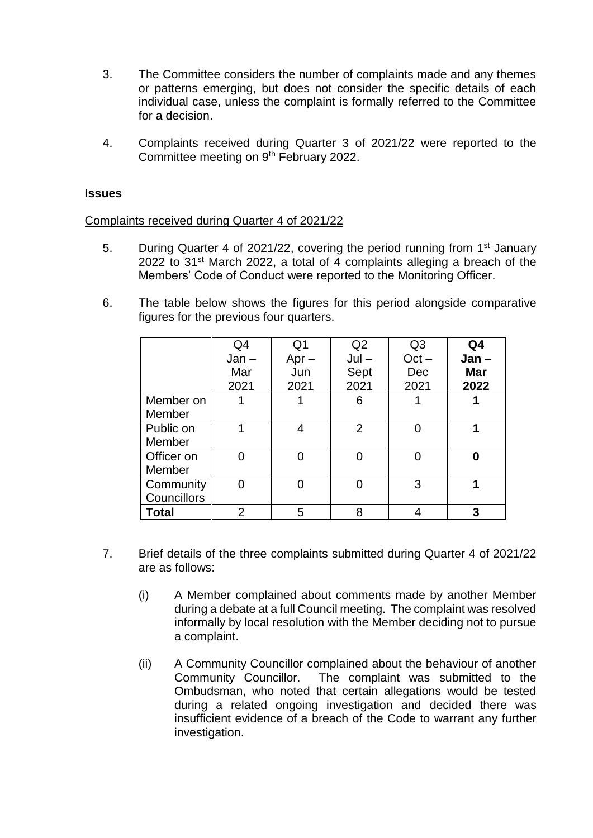- 3. The Committee considers the number of complaints made and any themes or patterns emerging, but does not consider the specific details of each individual case, unless the complaint is formally referred to the Committee for a decision.
- 4. Complaints received during Quarter 3 of 2021/22 were reported to the Committee meeting on 9<sup>th</sup> February 2022.

#### **Issues**

#### Complaints received during Quarter 4 of 2021/22

- 5. During Quarter 4 of 2021/22, covering the period running from 1<sup>st</sup> January 2022 to 31<sup>st</sup> March 2022, a total of 4 complaints alleging a breach of the Members' Code of Conduct were reported to the Monitoring Officer.
- 6. The table below shows the figures for this period alongside comparative figures for the previous four quarters.

|             | Q4      | Q <sub>1</sub> | Q2             | Q <sub>3</sub> | Q4         |
|-------------|---------|----------------|----------------|----------------|------------|
|             | $Jan -$ | $Apr -$        | $Jul -$        | $Oct -$        | $Jan -$    |
|             | Mar     | Jun            | Sept           | Dec            | <b>Mar</b> |
|             | 2021    | 2021           | 2021           | 2021           | 2022       |
| Member on   |         |                | 6              |                |            |
| Member      |         |                |                |                |            |
| Public on   |         | 4              | $\overline{2}$ |                |            |
| Member      |         |                |                |                |            |
| Officer on  |         |                |                | 0              | ŋ          |
| Member      |         |                |                |                |            |
| Community   |         |                |                | 3              |            |
| Councillors |         |                |                |                |            |
| Total       | 2       | 5              | 8              |                | 3          |

- 7. Brief details of the three complaints submitted during Quarter 4 of 2021/22 are as follows:
	- (i) A Member complained about comments made by another Member during a debate at a full Council meeting. The complaint was resolved informally by local resolution with the Member deciding not to pursue a complaint.
	- (ii) A Community Councillor complained about the behaviour of another Community Councillor. The complaint was submitted to the Ombudsman, who noted that certain allegations would be tested during a related ongoing investigation and decided there was insufficient evidence of a breach of the Code to warrant any further investigation.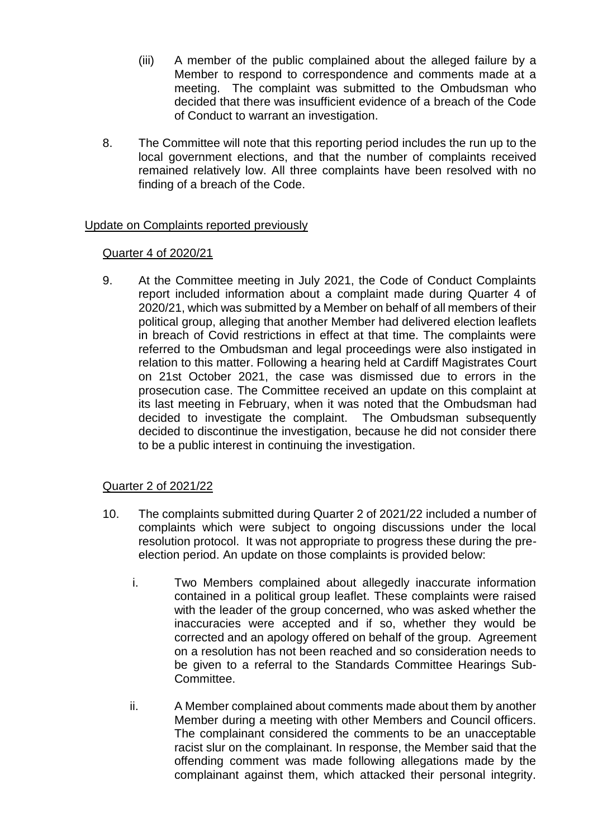- (iii) A member of the public complained about the alleged failure by a Member to respond to correspondence and comments made at a meeting. The complaint was submitted to the Ombudsman who decided that there was insufficient evidence of a breach of the Code of Conduct to warrant an investigation.
- 8. The Committee will note that this reporting period includes the run up to the local government elections, and that the number of complaints received remained relatively low. All three complaints have been resolved with no finding of a breach of the Code.

## Update on Complaints reported previously

## Quarter 4 of 2020/21

9. At the Committee meeting in July 2021, the Code of Conduct Complaints report included information about a complaint made during Quarter 4 of 2020/21, which was submitted by a Member on behalf of all members of their political group, alleging that another Member had delivered election leaflets in breach of Covid restrictions in effect at that time. The complaints were referred to the Ombudsman and legal proceedings were also instigated in relation to this matter. Following a hearing held at Cardiff Magistrates Court on 21st October 2021, the case was dismissed due to errors in the prosecution case. The Committee received an update on this complaint at its last meeting in February, when it was noted that the Ombudsman had decided to investigate the complaint. The Ombudsman subsequently decided to discontinue the investigation, because he did not consider there to be a public interest in continuing the investigation.

## Quarter 2 of 2021/22

- 10. The complaints submitted during Quarter 2 of 2021/22 included a number of complaints which were subject to ongoing discussions under the local resolution protocol. It was not appropriate to progress these during the preelection period. An update on those complaints is provided below:
	- i. Two Members complained about allegedly inaccurate information contained in a political group leaflet. These complaints were raised with the leader of the group concerned, who was asked whether the inaccuracies were accepted and if so, whether they would be corrected and an apology offered on behalf of the group. Agreement on a resolution has not been reached and so consideration needs to be given to a referral to the Standards Committee Hearings Sub-Committee.
	- ii. A Member complained about comments made about them by another Member during a meeting with other Members and Council officers. The complainant considered the comments to be an unacceptable racist slur on the complainant. In response, the Member said that the offending comment was made following allegations made by the complainant against them, which attacked their personal integrity.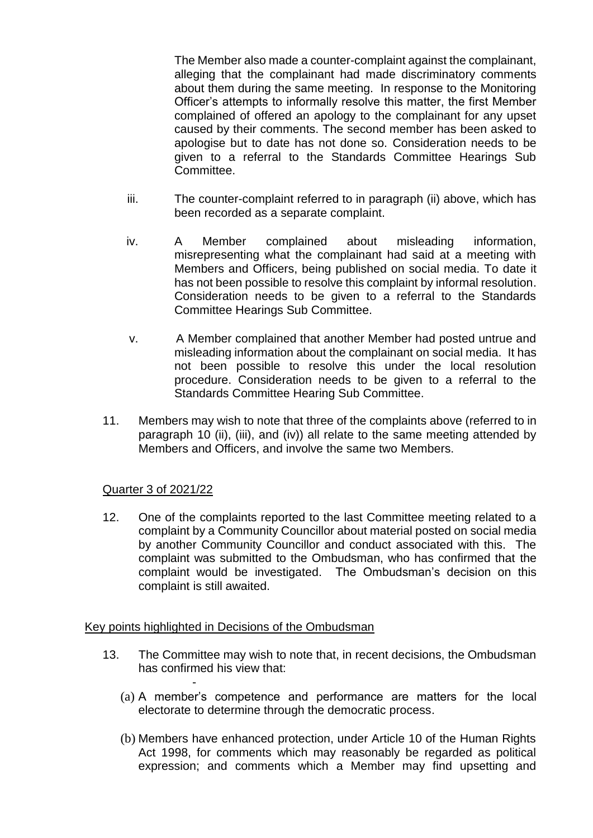The Member also made a counter-complaint against the complainant, alleging that the complainant had made discriminatory comments about them during the same meeting. In response to the Monitoring Officer's attempts to informally resolve this matter, the first Member complained of offered an apology to the complainant for any upset caused by their comments. The second member has been asked to apologise but to date has not done so. Consideration needs to be given to a referral to the Standards Committee Hearings Sub Committee.

- iii. The counter-complaint referred to in paragraph (ii) above, which has been recorded as a separate complaint.
- iv. A Member complained about misleading information, misrepresenting what the complainant had said at a meeting with Members and Officers, being published on social media. To date it has not been possible to resolve this complaint by informal resolution. Consideration needs to be given to a referral to the Standards Committee Hearings Sub Committee.
- v. A Member complained that another Member had posted untrue and misleading information about the complainant on social media. It has not been possible to resolve this under the local resolution procedure. Consideration needs to be given to a referral to the Standards Committee Hearing Sub Committee.
- 11. Members may wish to note that three of the complaints above (referred to in paragraph 10 (ii), (iii), and (iv)) all relate to the same meeting attended by Members and Officers, and involve the same two Members.

## Quarter 3 of 2021/22

12. One of the complaints reported to the last Committee meeting related to a complaint by a Community Councillor about material posted on social media by another Community Councillor and conduct associated with this. The complaint was submitted to the Ombudsman, who has confirmed that the complaint would be investigated. The Ombudsman's decision on this complaint is still awaited.

## Key points highlighted in Decisions of the Ombudsman

-

- 13. The Committee may wish to note that, in recent decisions, the Ombudsman has confirmed his view that:
	- (a) A member's competence and performance are matters for the local electorate to determine through the democratic process.
	- (b) Members have enhanced protection, under Article 10 of the Human Rights Act 1998, for comments which may reasonably be regarded as political expression; and comments which a Member may find upsetting and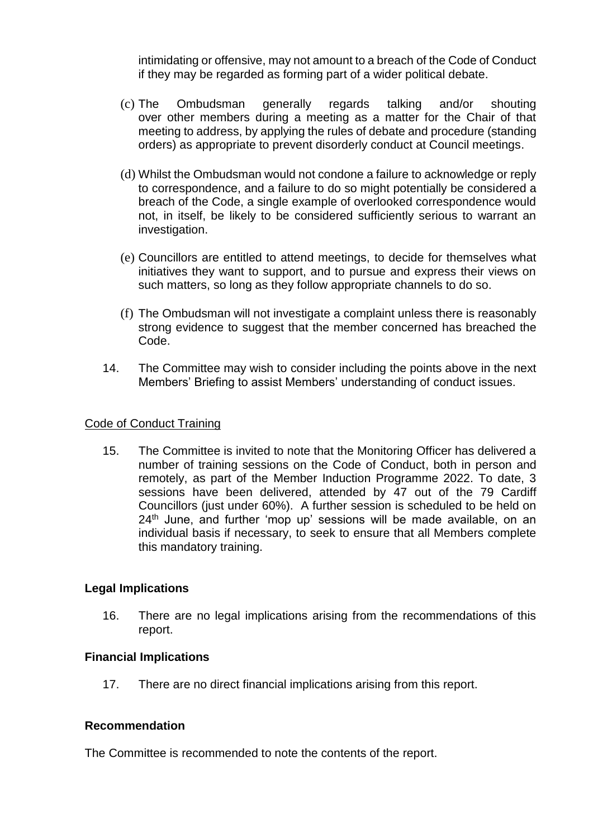intimidating or offensive, may not amount to a breach of the Code of Conduct if they may be regarded as forming part of a wider political debate.

- (c) The Ombudsman generally regards talking and/or shouting over other members during a meeting as a matter for the Chair of that meeting to address, by applying the rules of debate and procedure (standing orders) as appropriate to prevent disorderly conduct at Council meetings.
- (d) Whilst the Ombudsman would not condone a failure to acknowledge or reply to correspondence, and a failure to do so might potentially be considered a breach of the Code, a single example of overlooked correspondence would not, in itself, be likely to be considered sufficiently serious to warrant an investigation.
- (e) Councillors are entitled to attend meetings, to decide for themselves what initiatives they want to support, and to pursue and express their views on such matters, so long as they follow appropriate channels to do so.
- (f) The Ombudsman will not investigate a complaint unless there is reasonably strong evidence to suggest that the member concerned has breached the Code.
- 14. The Committee may wish to consider including the points above in the next Members' Briefing to assist Members' understanding of conduct issues.

#### Code of Conduct Training

15. The Committee is invited to note that the Monitoring Officer has delivered a number of training sessions on the Code of Conduct, both in person and remotely, as part of the Member Induction Programme 2022. To date, 3 sessions have been delivered, attended by 47 out of the 79 Cardiff Councillors (just under 60%). A further session is scheduled to be held on  $24<sup>th</sup>$  June, and further 'mop up' sessions will be made available, on an individual basis if necessary, to seek to ensure that all Members complete this mandatory training.

## **Legal Implications**

16. There are no legal implications arising from the recommendations of this report.

#### **Financial Implications**

17. There are no direct financial implications arising from this report.

## **Recommendation**

The Committee is recommended to note the contents of the report.